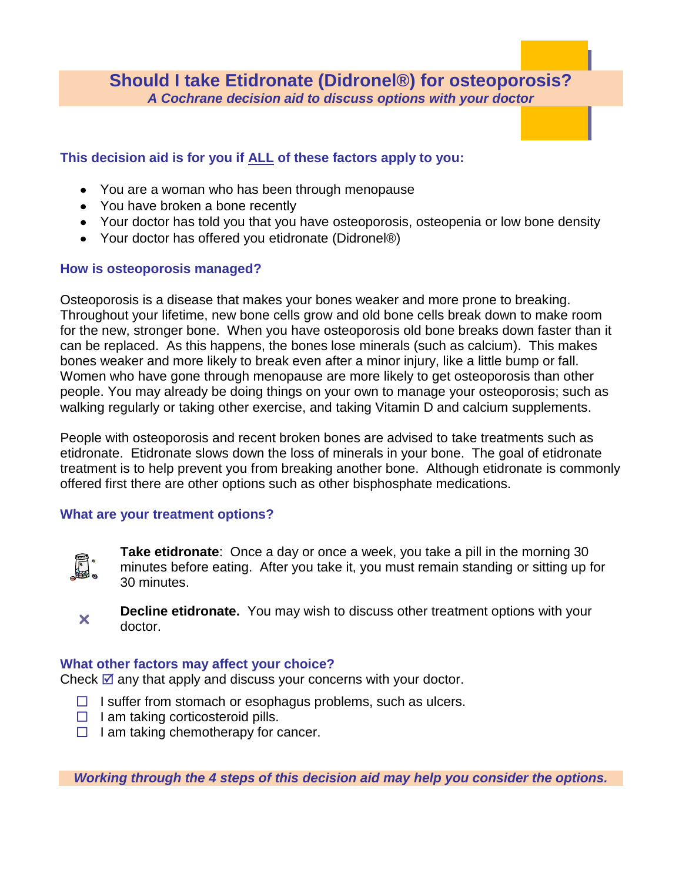**Should I take Etidronate (Didronel®) for osteoporosis?** *A Cochrane decision aid to discuss options with your doctor*

## **This decision aid is for you if ALL of these factors apply to you:**

- You are a woman who has been through menopause
- You have broken a bone recently
- Your doctor has told you that you have osteoporosis, osteopenia or low bone density
- Your doctor has offered you etidronate (Didronel®)

## **How is osteoporosis managed?**

Osteoporosis is a disease that makes your bones weaker and more prone to breaking. Throughout your lifetime, new bone cells grow and old bone cells break down to make room for the new, stronger bone. When you have osteoporosis old bone breaks down faster than it can be replaced. As this happens, the bones lose minerals (such as calcium). This makes bones weaker and more likely to break even after a minor injury, like a little bump or fall. Women who have gone through menopause are more likely to get osteoporosis than other people. You may already be doing things on your own to manage your osteoporosis; such as walking regularly or taking other exercise, and taking Vitamin D and calcium supplements.

People with osteoporosis and recent broken bones are advised to take treatments such as etidronate. Etidronate slows down the loss of minerals in your bone. The goal of etidronate treatment is to help prevent you from breaking another bone. Although etidronate is commonly offered first there are other options such as other bisphosphate medications.

## **What are your treatment options?**



**Take etidronate**: Once a day or once a week, you take a pill in the morning 30 minutes before eating. After you take it, you must remain standing or sitting up for 30 minutes.



**Decline etidronate.** You may wish to discuss other treatment options with your doctor.

## **What other factors may affect your choice?**

Check  $\mathbb Z$  any that apply and discuss your concerns with your doctor.

- $\Box$  I suffer from stomach or esophagus problems, such as ulcers.
- $\Box$  I am taking corticosteroid pills.
- $\Box$  I am taking chemotherapy for cancer.

*Working through the 4 steps of this decision aid may help you consider the options.*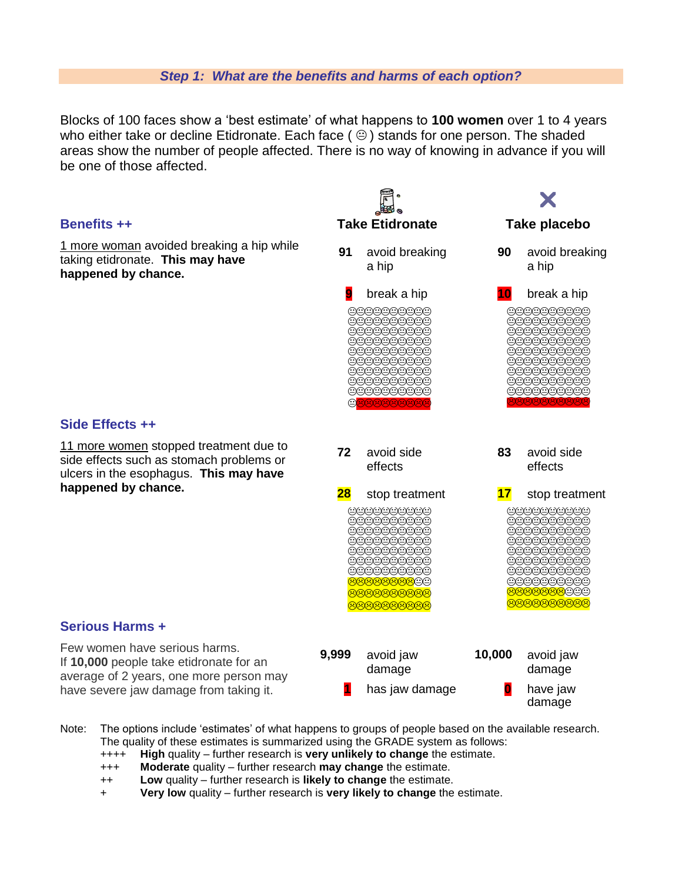#### *Step 1: What are the benefits and harms of each option?*

Blocks of 100 faces show a 'best estimate' of what happens to **100 women** over 1 to 4 years who either take or decline Etidronate. Each face ( $\odot$ ) stands for one person. The shaded areas show the number of people affected. There is no way of knowing in advance if you will be one of those affected.



- Note: The options include 'estimates' of what happens to groups of people based on the available research. The quality of these estimates is summarized using the GRADE system as follows:
	- ++++ **High** quality further research is **very unlikely to change** the estimate.
	- +++ **Moderate** quality further research **may change** the estimate.
	- ++ **Low** quality further research is **likely to change** the estimate.
	- + **Very low** quality further research is **very likely to change** the estimate.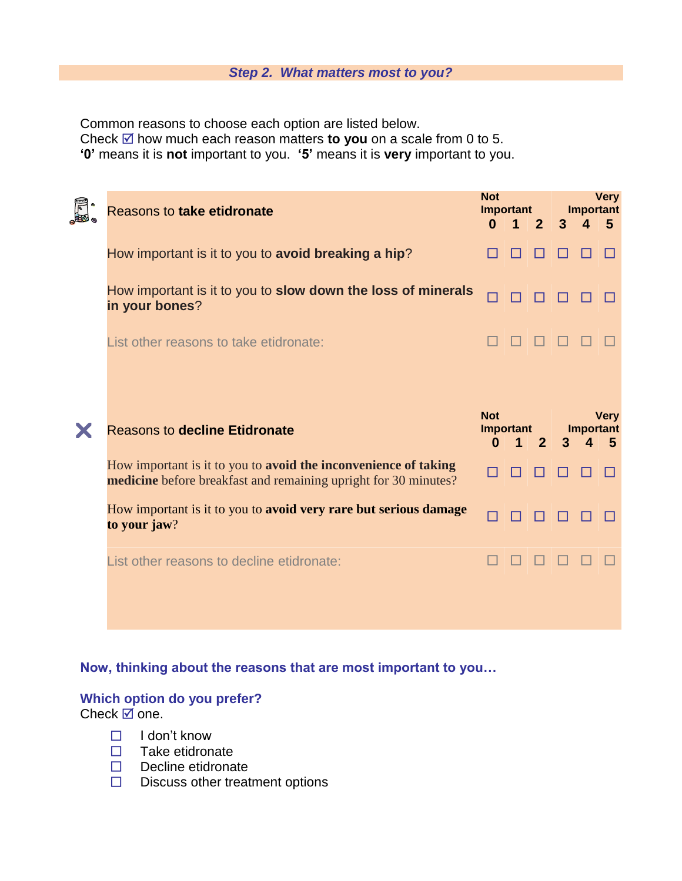#### *Step 2. What matters most to you?*

Common reasons to choose each option are listed below.

Check **⊠** how much each reason matters **to you** on a scale from 0 to 5.

**'0'** means it is **not** important to you. **'5'** means it is **very** important to you.

| <b>Reasons to take etidronate</b>                                                                                                  | <b>Not</b><br>Important<br>$\Omega$        | $\blacktriangleleft$ | 2 <sup>2</sup> | $\overline{3}$ | <b>Important</b><br>$\mathbf{A}$ | <b>Very</b><br>5 |
|------------------------------------------------------------------------------------------------------------------------------------|--------------------------------------------|----------------------|----------------|----------------|----------------------------------|------------------|
| How important is it to you to avoid breaking a hip?                                                                                |                                            |                      |                |                |                                  |                  |
| How important is it to you to slow down the loss of minerals<br>in your bones?                                                     |                                            |                      |                |                |                                  |                  |
| List other reasons to take etidronate:                                                                                             |                                            |                      |                |                |                                  |                  |
|                                                                                                                                    |                                            |                      |                |                |                                  |                  |
|                                                                                                                                    |                                            |                      |                |                |                                  |                  |
| <b>Reasons to decline Etidronate</b>                                                                                               | <b>Not</b><br><b>Important</b><br>$\bf{0}$ | 1                    | $\overline{2}$ | 3              | <b>Important</b><br>4            | <b>Very</b><br>5 |
| How important is it to you to avoid the inconvenience of taking<br>medicine before breakfast and remaining upright for 30 minutes? |                                            |                      |                |                |                                  |                  |
| How important is it to you to avoid very rare but serious damage<br>to your jaw?                                                   |                                            |                      |                |                |                                  |                  |
| List other reasons to decline etidronate:                                                                                          |                                            |                      |                |                |                                  |                  |

# **Now, thinking about the reasons that are most important to you…**

# **Which option do you prefer?**

Check  $\overline{\mathbb{Z}}$  one.

- $\Box$  I don't know
- $\Box$  Take etidronate
- $\Box$  Decline etidronate
- $\square$  Discuss other treatment options